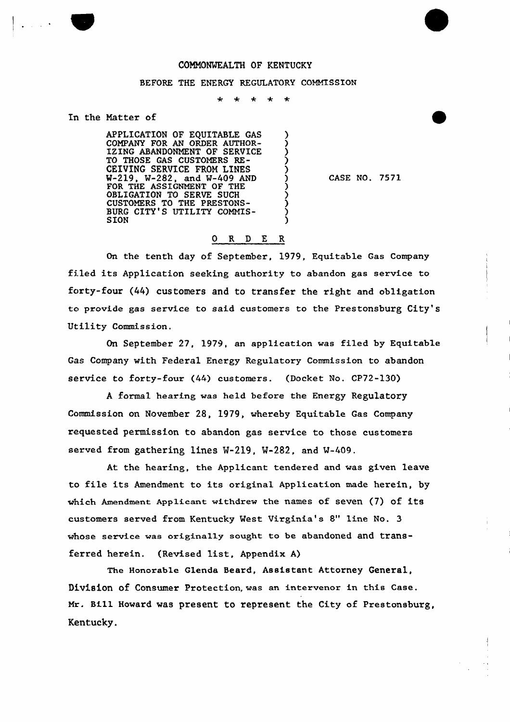### COMMONWEALTH OF KENTUCKY

### BEFORE THE ENERGY REGULATORY COMMISSION

 $\ddot{\textbf{r}}$  $\star$ 

> λ 冫 Ć )<br>)

### In the Natter of

 $\frac{1}{2}$  ,  $\frac{1}{2}$  ,  $\frac{1}{2}$ 

APPLICATION OF EQUITABLE GAS COMPANY FOR AN ORDER AUTHOR-IZING ABANDONMENT OF SERVICE TO THOSE GAS CUSTOMERS RE-CEIVING SERVICE FROM LINES W-219, W-282, and W-409 AND FOR THE ASSIGNMENT OF THE OBLIGATION TO SERVE SUCH CUSTOMERS TO THE PRESTONS-BURG CITY'S UTILITY COMMIS-SION

CASE NO. 7571

# 0 R <sup>D</sup> E R

On the tenth day of September, 1979, Equitable Gas Company filed its Application seeking authoxity to abandon gas service to forty-four (44) customers and to transfer the right and obligation to provide gas service to said customers to the Prestonsburg City's Utility Commission.

On September 27, 1979, an application was filed by Equitable Gas Company with Federal Energy Regulatory Commission to abandon sexvice to forty-four (44) customers. (Docket No. CP72-130)

A formal hearing was held before the Energy Regulatory Commission on Novembex'8, 1979, whereby Equitable Gas Company requested permission to abandon gas service to those customexs served from gathering lines W-219, W-282, and W-409.

At the hearing, the Applicant tendered and was given leave to file its Amendment to its original Application made herein, by which Amendment Applicant withdrew the names of seven (7) of its customers served from Kentucky West Virginia's 8" line No. 3 whose service was originally sought to be abandoned and transferred herein. (Revised list, Appendix A)

The Honorable Glenda Beard, Assistant Attorney General, Division of Consumer Protection, was an intervenor in this Case. Mr. Bill Howard was present to represent the City of Prestonsburg, Kentucky.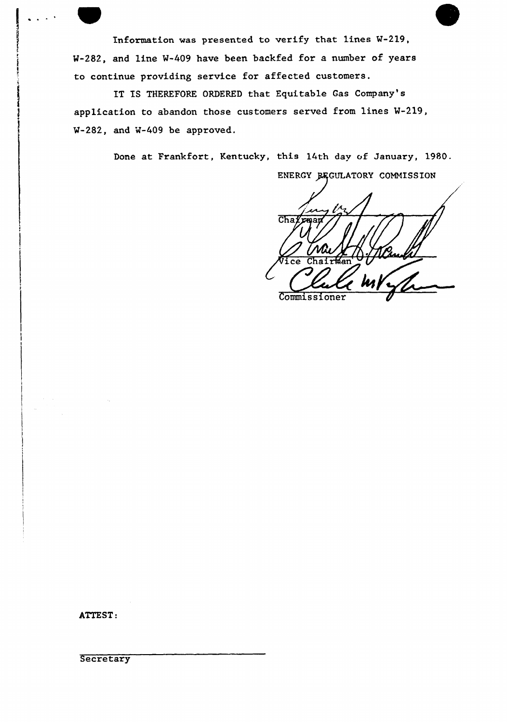Information was presented to verify that lines W-219, M-282, and line W-409 have been backfed for a number of years to continue providing service for affected customers.

IT IS THEREFORE ORDERED that Equitable Gas Company's application to abandon those customers served from lines W-219, W-282, and W-409 be approved.

Done at Frankfort, Kentucky, this 14th day of January, 1980.

ENERGY BEGULATORY COMMISSION  $ChaZ$ **12R021 and** ice Chair%en'ommissioner Commissioner

ATTEST:

**Secretary**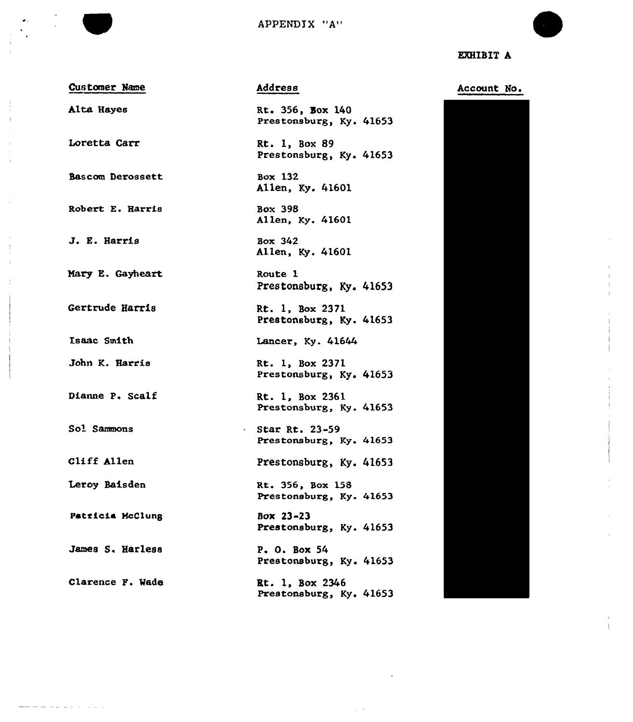

EXHIBIT A

| ويستوسط والمتوسيق كوسي<br>___ | Customer Name |  |
|-------------------------------|---------------|--|
|                               |               |  |

Alta Hayes

Loretta Carr

Derossett

Robert E. Harris

J. E. Harris

Mary E. Gayheart

Gertrude Harris

Isaac Smith

John K. Harris

Dianne P. Scalf

Sol Sammons

Cliff Allen

Leroy Baisden

P<mark>atricia McClun</mark>g

James S. Harless

Clarence P. Wade

المتوارد المناطر والمتحار والمستحدث

Address

Rt. 356, Box 140 Prestonsburg, Ky. 41653

Rt. 1, Box 89 Prestonsburg, Ky. 41653

Box 132 Allen, Ky. 41601

Box 398 Allen, Ky. 41601

Box 342 Allen, Ky. 41601

Route 1 Prestonsburg, Ky. 41653

Rt. 1, Box 2371 Prestonsburg, Ky. 41653

Lancer, Ky. 41644

Rt. 1, Box 2371 Prestonsburg, Ky. 41653

Rt. 1, Box 2361 Prestonsburg, Ky. 41653

Star Rt. 23-59  $\mathcal{L}_{\mathrm{max}}$ Prestonsburg, Ky. 41653

Prestonsburg, Ky. 41653

Rt. 356, Box 158 Prestonsburg, Ky. 41653

Box 23-23 Prestonsburg, Ky. 41653

P. O. Box 54 Prestonsburg, Ky. 41653

Rt. 1, Box 2346 Prestonsburg, Ky, 41653



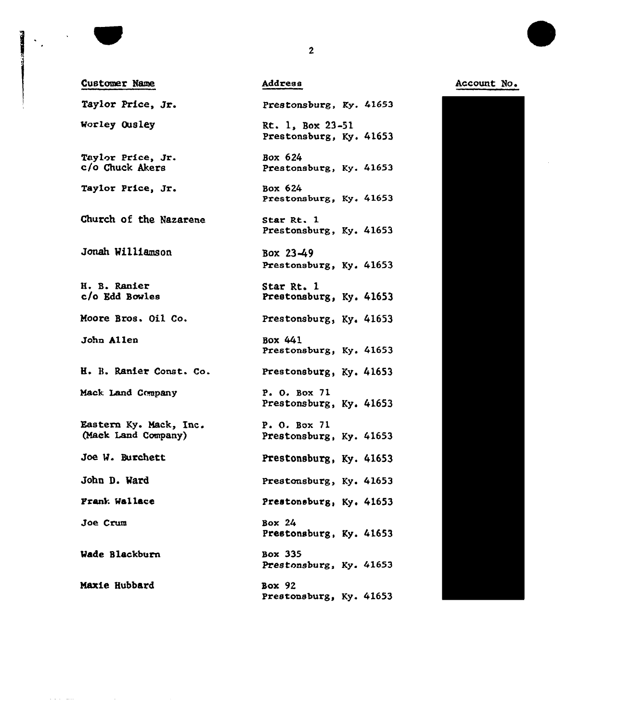

 $\mathcal{L}^{\mathcal{L}}(\mathcal{L}^{\mathcal{L}}(\mathcal{L}^{\mathcal{L}}))$  and

Account Ho.



 $\mathbf{2}$